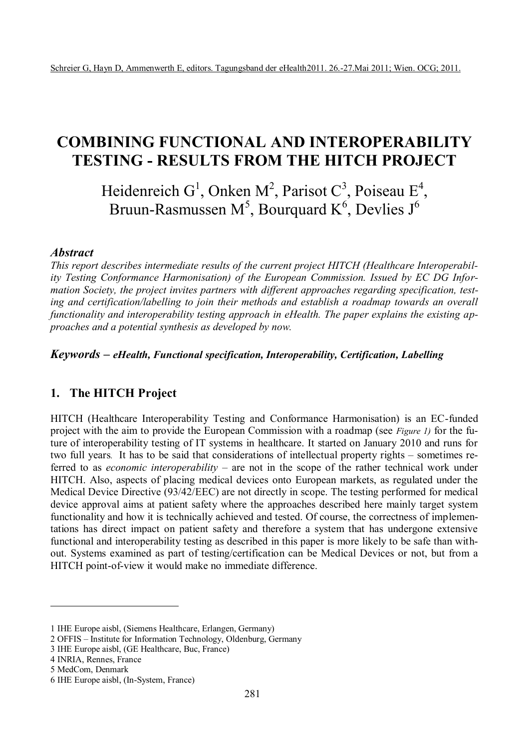# **COMBINING FUNCTIONAL AND INTEROPERABILITY TESTING - RESULTS FROM THE HITCH PROJECT**

Heidenreich G<sup>1</sup>, Onken M<sup>2</sup>, Parisot C<sup>3</sup>, Poiseau E<sup>4</sup>, Bruun-Rasmussen M<sup>5</sup>, Bourquard K<sup>6</sup>, Devlies J<sup>6</sup>

#### *Abstract*

*This report describes intermediate results of the current project HITCH (Healthcare Interoperability Testing Conformance Harmonisation) of the European Commission. Issued by EC DG Information Society, the project invites partners with different approaches regarding specification, testing and certification/labelling to join their methods and establish a roadmap towards an overall functionality and interoperability testing approach in eHealth. The paper explains the existing approaches and a potential synthesis as developed by now.*

*Keywords – eHealth, Functional specification, Interoperability, Certification, Labelling*

## **1. The HITCH Project**

HITCH (Healthcare Interoperability Testing and Conformance Harmonisation) is an EC-funded project with the aim to provide the European Commission with a roadmap (see *Figure 1)* for the future of interoperability testing of IT systems in healthcare. It started on January 2010 and runs for two full years*.* It has to be said that considerations of intellectual property rights – sometimes referred to as *economic interoperability* – are not in the scope of the rather technical work under HITCH. Also, aspects of placing medical devices onto European markets, as regulated under the Medical Device Directive (93/42/EEC) are not directly in scope. The testing performed for medical device approval aims at patient safety where the approaches described here mainly target system functionality and how it is technically achieved and tested. Of course, the correctness of implementations has direct impact on patient safety and therefore a system that has undergone extensive functional and interoperability testing as described in this paper is more likely to be safe than without. Systems examined as part of testing/certification can be Medical Devices or not, but from a HITCH point-of-view it would make no immediate difference.

 $\overline{a}$ 

<sup>1</sup> IHE Europe aisbl, (Siemens Healthcare, Erlangen, Germany)

<sup>2</sup> OFFIS – Institute for Information Technology, Oldenburg, Germany

<sup>3</sup> IHE Europe aisbl, (GE Healthcare, Buc, France)

<sup>4</sup> INRIA, Rennes, France

<sup>5</sup> MedCom, Denmark

<sup>6</sup> IHE Europe aisbl, (In-System, France)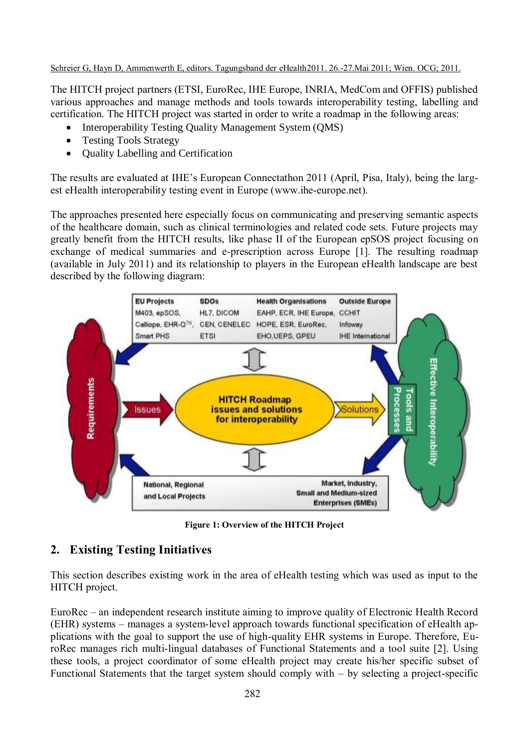The HITCH project partners (ETSI, EuroRec, IHE Europe, INRIA, MedCom and OFFIS) published various approaches and manage methods and tools towards interoperability testing, labelling and certification. The HITCH project was started in order to write a roadmap in the following areas:

- Interoperability Testing Quality Management System (OMS)
- Testing Tools Strategy
- Quality Labelling and Certification

The results are evaluated at IHE's European Connectathon 2011 (April, Pisa, Italy), being the largest eHealth interoperability testing event in Europe [\(www.ihe-europe.net\)](http://www.ihe-europe.net/).

The approaches presented here especially focus on communicating and preserving semantic aspects of the healthcare domain, such as clinical terminologies and related code sets. Future projects may greatly benefit from the HITCH results, like phase II of the European epSOS project focusing on exchange of medical summaries and e-prescription across Europe [1]. The resulting roadmap (available in July 2011) and its relationship to players in the European eHealth landscape are best described by the following diagram:



**Figure 1: Overview of the HITCH Project**

# **2. Existing Testing Initiatives**

This section describes existing work in the area of eHealth testing which was used as input to the HITCH project.

EuroRec – an independent research institute aiming to improve quality of Electronic Health Record (EHR) systems – manages a system-level approach towards functional specification of eHealth applications with the goal to support the use of high-quality EHR systems in Europe. Therefore, EuroRec manages rich multi-lingual databases of Functional Statements and a tool suite [2]. Using these tools, a project coordinator of some eHealth project may create his/her specific subset of Functional Statements that the target system should comply with – by selecting a project-specific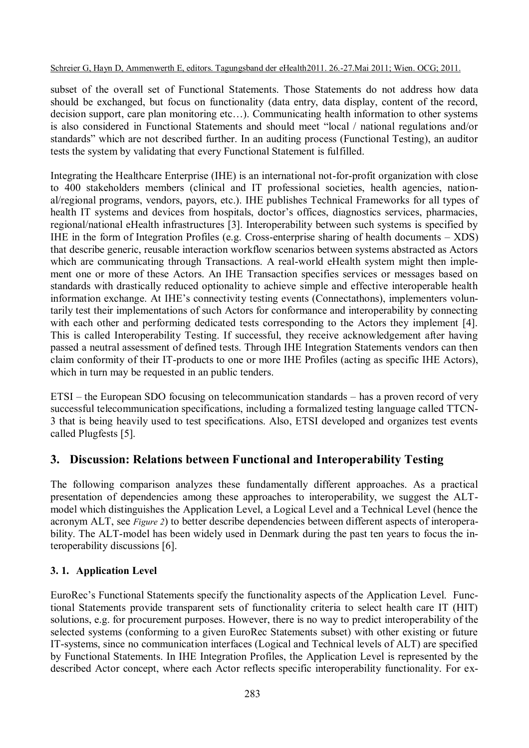subset of the overall set of Functional Statements. Those Statements do not address how data should be exchanged, but focus on functionality (data entry, data display, content of the record, decision support, care plan monitoring etc…). Communicating health information to other systems is also considered in Functional Statements and should meet "local / national regulations and/or standards" which are not described further. In an auditing process (Functional Testing), an auditor tests the system by validating that every Functional Statement is fulfilled.

Integrating the Healthcare Enterprise (IHE) is an international not-for-profit organization with close to 400 stakeholders members (clinical and IT professional societies, health agencies, national/regional programs, vendors, payors, etc.). IHE publishes Technical Frameworks for all types of health IT systems and devices from hospitals, doctor's offices, diagnostics services, pharmacies, regional/national eHealth infrastructures [3]. Interoperability between such systems is specified by IHE in the form of Integration Profiles (e.g. Cross-enterprise sharing of health documents – XDS) that describe generic, reusable interaction workflow scenarios between systems abstracted as Actors which are communicating through Transactions. A real-world eHealth system might then implement one or more of these Actors. An IHE Transaction specifies services or messages based on standards with drastically reduced optionality to achieve simple and effective interoperable health information exchange. At IHE's connectivity testing events (Connectathons), implementers voluntarily test their implementations of such Actors for conformance and interoperability by connecting with each other and performing dedicated tests corresponding to the Actors they implement [4]. This is called Interoperability Testing. If successful, they receive acknowledgement after having passed a neutral assessment of defined tests. Through IHE Integration Statements vendors can then claim conformity of their IT-products to one or more IHE Profiles (acting as specific IHE Actors), which in turn may be requested in an public tenders.

ETSI – the European SDO focusing on telecommunication standards – has a proven record of very successful telecommunication specifications, including a formalized testing language called TTCN-3 that is being heavily used to test specifications. Also, ETSI developed and organizes test events called Plugfests [5].

# **3. Discussion: Relations between Functional and Interoperability Testing**

The following comparison analyzes these fundamentally different approaches. As a practical presentation of dependencies among these approaches to interoperability, we suggest the ALTmodel which distinguishes the Application Level, a Logical Level and a Technical Level (hence the acronym ALT, see *Figure 2*) to better describe dependencies between different aspects of interoperability. The ALT-model has been widely used in Denmark during the past ten years to focus the interoperability discussions [6].

## **3. 1. Application Level**

EuroRec's Functional Statements specify the functionality aspects of the Application Level. Functional Statements provide transparent sets of functionality criteria to select health care IT (HIT) solutions, e.g. for procurement purposes. However, there is no way to predict interoperability of the selected systems (conforming to a given EuroRec Statements subset) with other existing or future IT-systems, since no communication interfaces (Logical and Technical levels of ALT) are specified by Functional Statements. In IHE Integration Profiles, the Application Level is represented by the described Actor concept, where each Actor reflects specific interoperability functionality. For ex-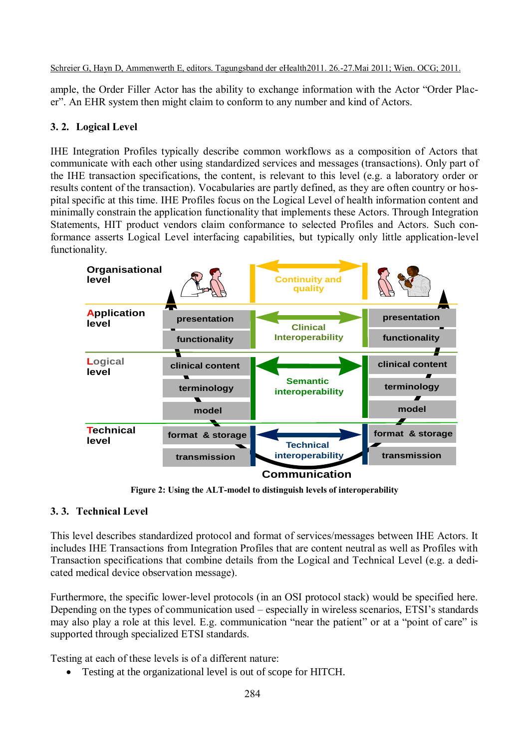ample, the Order Filler Actor has the ability to exchange information with the Actor "Order Placer". An EHR system then might claim to conform to any number and kind of Actors.

### **3. 2. Logical Level**

IHE Integration Profiles typically describe common workflows as a composition of Actors that communicate with each other using standardized services and messages (transactions). Only part of the IHE transaction specifications, the content, is relevant to this level (e.g. a laboratory order or results content of the transaction). Vocabularies are partly defined, as they are often country or hospital specific at this time. IHE Profiles focus on the Logical Level of health information content and minimally constrain the application functionality that implements these Actors. Through Integration Statements, HIT product vendors claim conformance to selected Profiles and Actors. Such conformance asserts Logical Level interfacing capabilities, but typically only little application-level functionality.



**Figure 2: Using the ALT-model to distinguish levels of interoperability**

## **3. 3. Technical Level**

This level describes standardized protocol and format of services/messages between IHE Actors. It<br>includes IHE Transactions from Integration Profiles that are content neutral as well as Profiles with This level describes standardized protocol and format of services/messages between IHE Actors. It Transaction specifications that combine details from the Logical and Technical Level (e.g. a dedicated medical device observation message).

Furthermore, the specific lower-level protocols (in an OSI protocol stack) would be specified here. Depending on the types of communication used – especially in wireless scenarios, ETSI's standards may also play a role at this level. E.g. communication "near the patient" or at a "point of care" is supported through specialized ETSI standards.

Testing at each of these levels is of a different nature:

Testing at the organizational level is out of scope for HITCH.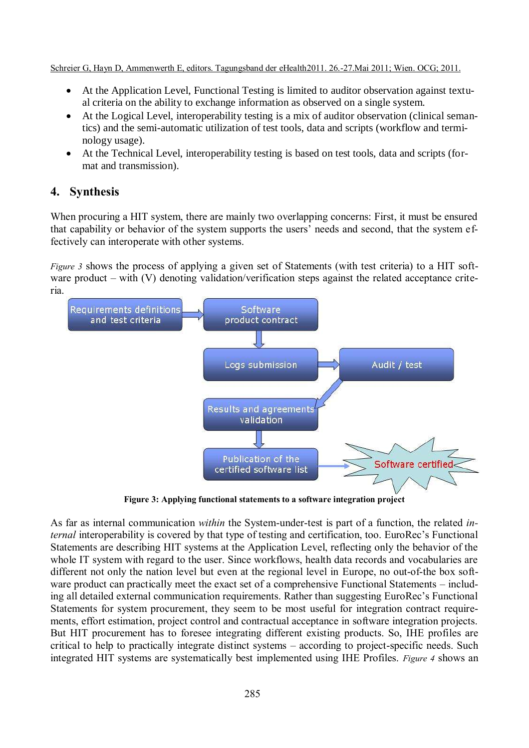- At the Application Level, Functional Testing is limited to auditor observation against textual criteria on the ability to exchange information as observed on a single system.
- At the Logical Level, interoperability testing is a mix of auditor observation (clinical semantics) and the semi-automatic utilization of test tools, data and scripts (workflow and terminology usage).
- At the Technical Level, interoperability testing is based on test tools, data and scripts (format and transmission).

# **4. Synthesis**

When procuring a HIT system, there are mainly two overlapping concerns: First, it must be ensured that capability or behavior of the system supports the users' needs and second, that the system effectively can interoperate with other systems.

*Figure 3* shows the process of applying a given set of Statements (with test criteria) to a HIT software product – with (V) denoting validation/verification steps against the related acceptance criteria.



**Figure 3: Applying functional statements to a software integration project**

As far as internal communication *within* the System-under-test is part of a function, the related *internal* interoperability is covered by that type of testing and certification, too. EuroRec's Functional Statements are describing HIT systems at the Application Level, reflecting only the behavior of the whole IT system with regard to the user. Since workflows, health data records and vocabularies are different not only the nation level but even at the regional level in Europe, no out-of-the box software product can practically meet the exact set of a comprehensive Functional Statements – including all detailed external communication requirements. Rather than suggesting EuroRec's Functional Statements for system procurement, they seem to be most useful for integration contract requirements, effort estimation, project control and contractual acceptance in software integration projects. But HIT procurement has to foresee integrating different existing products. So, IHE profiles are critical to help to practically integrate distinct systems – according to project-specific needs. Such integrated HIT systems are systematically best implemented using IHE Profiles. *Figure 4* shows an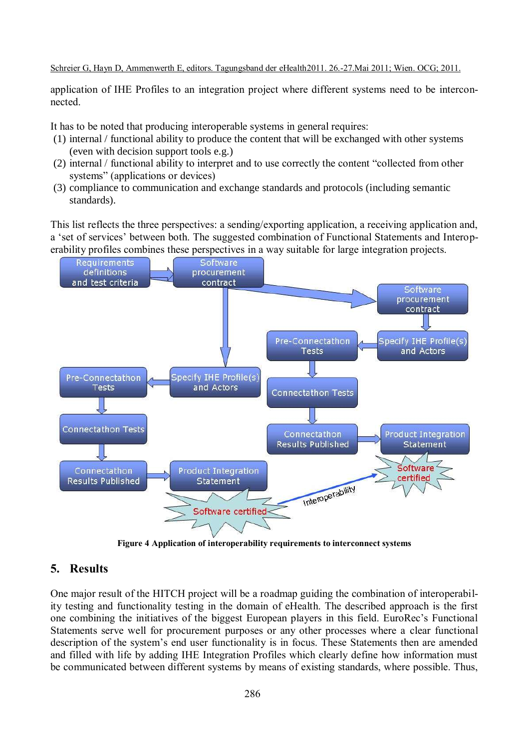application of IHE Profiles to an integration project where different systems need to be interconnected.

It has to be noted that producing interoperable systems in general requires:

- (1) internal / functional ability to produce the content that will be exchanged with other systems (even with decision support tools e.g.)
- (2) internal / functional ability to interpret and to use correctly the content "collected from other systems" (applications or devices)
- (3) compliance to communication and exchange standards and protocols (including semantic standards).

This list reflects the three perspectives: a sending/exporting application, a receiving application and, a 'set of services' between both. The suggested combination of Functional Statements and Interoperability profiles combines these perspectives in a way suitable for large integration projects.



**Figure 4 Application of interoperability requirements to interconnect systems**

# **5. Results**

One major result of the HITCH project will be a roadmap guiding the combination of interoperability testing and functionality testing in the domain of eHealth. The described approach is the first one combining the initiatives of the biggest European players in this field. EuroRec's Functional Statements serve well for procurement purposes or any other processes where a clear functional description of the system's end user functionality is in focus. These Statements then are amended and filled with life by adding IHE Integration Profiles which clearly define how information must be communicated between different systems by means of existing standards, where possible. Thus,